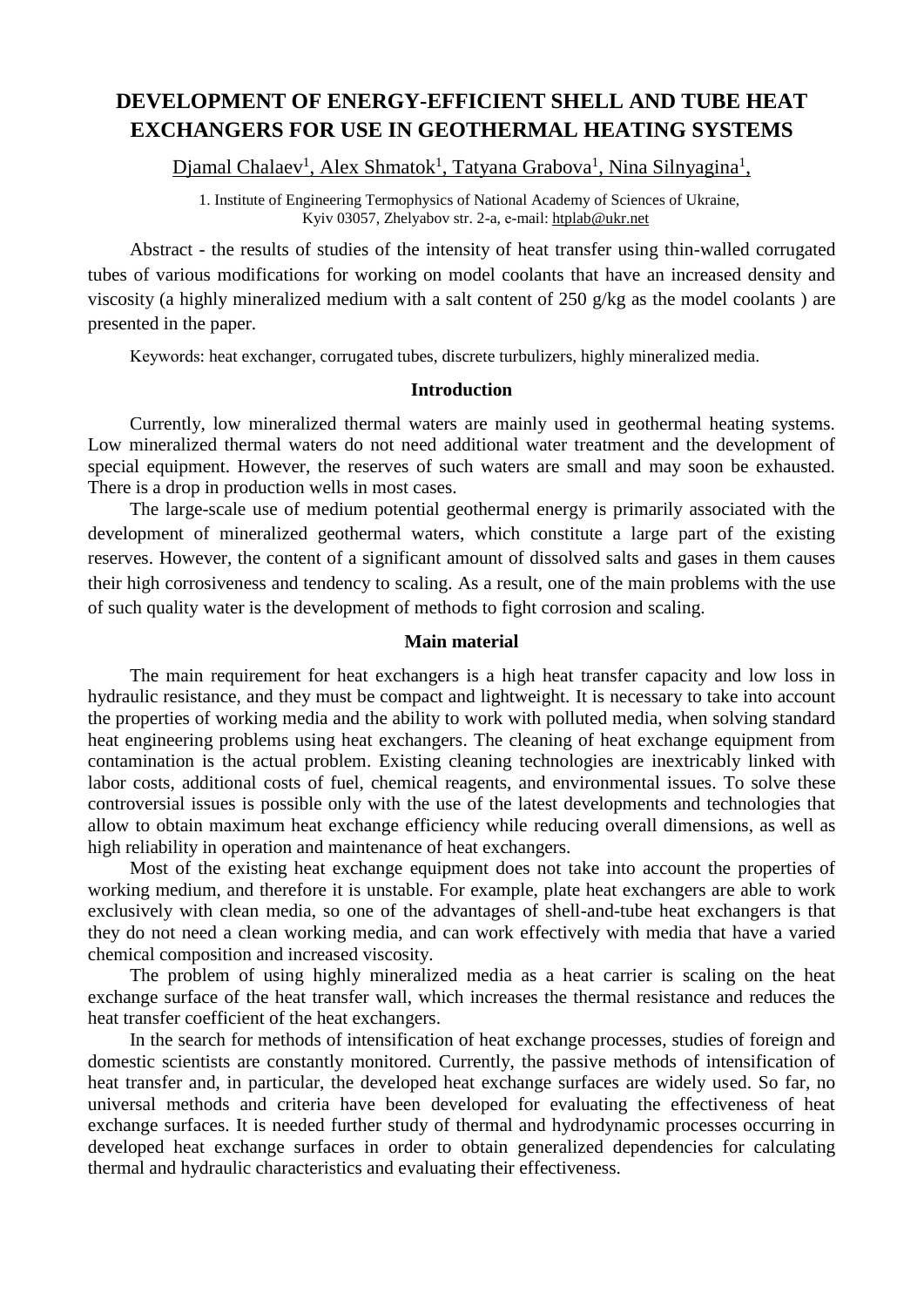# **DEVELOPMENT OF ENERGY-EFFICIENT SHELL AND TUBE HEAT EXCHANGERS FOR USE IN GEOTHERMAL HEATING SYSTEMS**

Djamal Chalaev<sup>1</sup>, Alex Shmatok<sup>1</sup>, Tatyana Grabova<sup>1</sup>, Nina Silnyagina<sup>1</sup>,

1. Institute of Engineering Termophysics of National Academy of Sciences of Ukraine, Kyiv 03057, Zhelyabov str. 2-a, е-mail: [htplab@ukr.net](mailto:htplab@ukr.net)

Abstract - the results of studies of the intensity of heat transfer using thin-walled corrugated tubes of various modifications for working on model coolants that have an increased density and viscosity (a highly mineralized medium with a salt content of 250 g/kg as the model coolants ) are presented in the paper.

Kеуwords: heat exchanger, corrugated tubes, discrete turbulizers, highly mineralized media.

### **Introduction**

Currently, low mineralized thermal waters are mainly used in geothermal heating systems. Low mineralized thermal waters do not need additional water treatment and the development of special equipment. However, the reserves of such waters are small and may soon be exhausted. There is a drop in production wells in most cases.

The large-scale use of medium potential geothermal energy is primarily associated with the development of mineralized geothermal waters, which constitute a large part of the existing reserves. However, the content of a significant amount of dissolved salts and gases in them causes their high corrosiveness and tendency to scaling. As a result, one of the main problems with the use of such quality water is the development of methods to fight corrosion and scaling.

### **Main material**

The main requirement for heat exchangers is a high heat transfer capacity and low loss in hydraulic resistance, and they must be compact and lightweight. It is necessary to take into account the properties of working media and the ability to work with polluted media, when solving standard heat engineering problems using heat exchangers. The cleaning of heat exchange equipment from contamination is the actual problem. Existing cleaning technologies are inextricably linked with labor costs, additional costs of fuel, chemical reagents, and environmental issues. To solve these controversial issues is possible only with the use of the latest developments and technologies that allow to obtain maximum heat exchange efficiency while reducing overall dimensions, as well as high reliability in operation and maintenance of heat exchangers.

Most of the existing heat exchange equipment does not take into account the properties of working medium, and therefore it is unstable. For example, plate heat exchangers are able to work exclusively with clean media, so one of the advantages of shell-and-tube heat exchangers is that they do not need a clean working media, and can work effectively with media that have a varied chemical composition and increased viscosity.

The problem of using highly mineralized media as a heat carrier is scaling on the heat exchange surface of the heat transfer wall, which increases the thermal resistance and reduces the heat transfer coefficient of the heat exchangers.

In the search for methods of intensification of heat exchange processes, studies of foreign and domestic scientists are constantly monitored. Currently, the passive methods of intensification of heat transfer and, in particular, the developed heat exchange surfaces are widely used. So far, no universal methods and criteria have been developed for evaluating the effectiveness of heat exchange surfaces. It is needed further study of thermal and hydrodynamic processes occurring in developed heat exchange surfaces in order to obtain generalized dependencies for calculating thermal and hydraulic characteristics and evaluating their effectiveness.